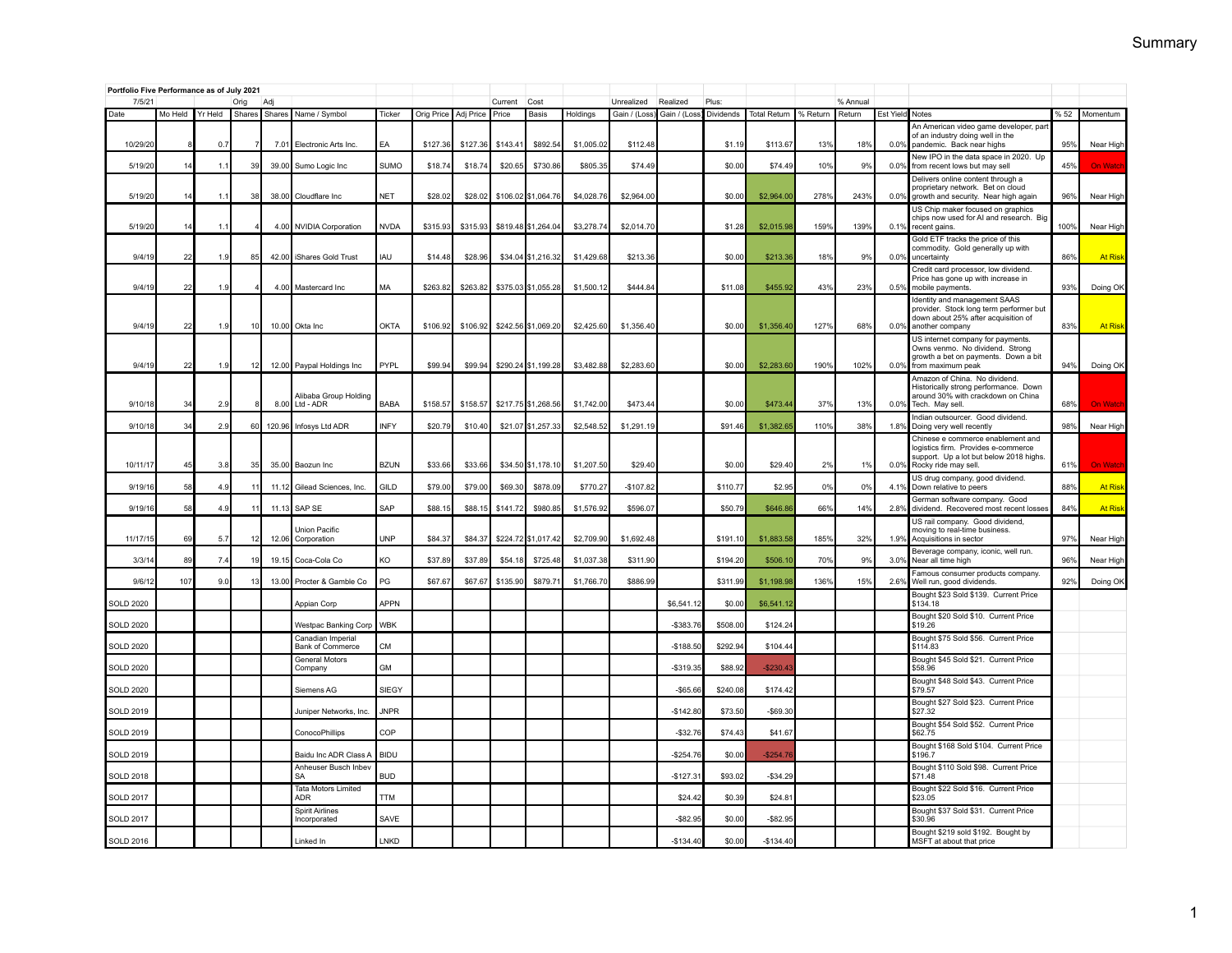|                    | Portfolio Five Performance as of July 2021<br>7/5/21 |                |                |                |                                               |                            |                     |                     |                  |                                          |                          |                            |                          |                    |                        |             |                    |              |                                                                                                                                             |            |                      |
|--------------------|------------------------------------------------------|----------------|----------------|----------------|-----------------------------------------------|----------------------------|---------------------|---------------------|------------------|------------------------------------------|--------------------------|----------------------------|--------------------------|--------------------|------------------------|-------------|--------------------|--------------|---------------------------------------------------------------------------------------------------------------------------------------------|------------|----------------------|
| Date               | Mo Held                                              | Yr Held        | Oria<br>Shares | Adi<br>Shares  | Name / Symbol                                 | Ticker                     | Orig Price          | Adj Price           | Current<br>Price | Cost<br><b>Basis</b>                     | Holdings                 | Unrealized<br>Gain / (Loss | Realized<br>Gain / (Loss | Plus:<br>Dividends | <b>Total Return</b>    | % Return    | % Annual<br>Return | Est Yield    | Notes                                                                                                                                       | %52        | Momentum             |
| 10/29/20           |                                                      | 0.7            |                | 7.01           | Electronic Arts Inc                           | <b>FA</b>                  | \$127.36            | \$127.36            | \$143.4          | \$892.54                                 | \$1,005.02               | \$112.48                   |                          | \$1.19             | \$113.67               | 13%         | 18%                | 0.0%         | An American video game developer, part<br>of an industry doing well in the<br>pandemic. Back near highs                                     | 95%        | Near High            |
| 5/19/20            | 14                                                   | 1.1            | 39             | 39.00          | Sumo Logic Inc                                | SUMO                       | \$18.74             | \$18.74             | \$20.65          | \$730.8                                  | \$805.3                  | \$74.49                    |                          | \$0.00             | \$74.49                | 10%         | 9%                 | 0.0%         | New IPO in the data space in 2020. Up<br>from recent lows but may sell                                                                      | 45%        | On Wati              |
| 5/19/20            | 14                                                   | 1.1            | 38             | 38.00          | Cloudflare Inc                                | <b>NET</b>                 | \$28.02             | \$28.02             | \$106.02         | \$1,064.76                               | \$4,028.76               | \$2,964.00                 |                          | \$0.00             | \$2,964.00             | 278%        | 243%               | 0.0%         | Delivers online content through a<br>proprietary network. Bet on cloud<br>growth and security. Near high again                              | 96%        | Near High            |
| 5/19/20            | 14                                                   | 1.1            |                | 4.00           | <b>NVIDIA Corporation</b>                     | <b>NVDA</b>                | \$315.93            | \$315.93            |                  | \$819.48 \$1,264.04                      | \$3,278.74               | \$2,014.70                 |                          | \$1.28             | \$2,015.98             | 159%        | 139%               | 0.1%         | US Chip maker focused on graphics<br>chips now used for AI and research. Big<br>recent gains                                                | 100%       | Near High            |
| 9/4/19             | 22                                                   | 1.9            | 85             | 42.00          | iShares Gold Trust                            | IAU                        | \$14.48             | \$28.96             |                  | \$34.04 \$1,216.32                       | \$1,429.68               | \$213.36                   |                          | \$0.00             | \$213.36               | 18%         | 9%                 | 0.0%         | Gold ETF tracks the price of this<br>commodity. Gold generally up with<br>uncertainty                                                       | 86%        | <b>At Risk</b>       |
| 9/4/19             | 22                                                   | 1.9            |                | 4.00           | Mastercard Inc                                | MA                         | \$263.82            | \$263.82            |                  | \$375.03 \$1,055.28                      | \$1,500.12               | \$444.84                   |                          | \$11.08            | \$455.92               | 43%         | 23%                | 0.5%         | Credit card processor, low dividend.<br>Price has gone up with increase in<br>mobile payments.                                              | 93%        | Doing OK             |
| 9/4/19             | 22                                                   | 1.9            | 10             |                | 10.00 Okta Inc                                | <b>OKTA</b>                | \$106.92            | \$106.92            |                  | \$242.56 \$1,069.20                      | \$2,425.60               | \$1,356.40                 |                          | \$0.00             | \$1,356.40             | 127%        | 68%                | 0.0%         | Identity and management SAAS<br>provider. Stock long term performer but<br>down about 25% after acquisition of<br>another company           | 83%        | <b>At Risk</b>       |
| 9/4/19             | 22                                                   | 1.9            | 12             |                | 12.00 Paypal Holdings Inc                     | PYPL                       | \$99.94             | \$99.94             |                  | \$290.24 \$1,199.28                      | \$3,482.88               | \$2,283.60                 |                          | \$0.00             | \$2,283.60             | 190%        | 102%               | 0.0%         | US internet company for payments.<br>Owns venmo. No dividend. Strong<br>growth a bet on payments. Down a bit<br>from maximum peak           | 94%        | Doing OK             |
|                    |                                                      |                |                |                | Alibaba Group Holding                         |                            |                     |                     |                  |                                          |                          |                            |                          |                    |                        |             |                    |              | Amazon of China. No dividend.<br>Historically strong performance. Down<br>around 30% with crackdown on China                                |            |                      |
| 9/10/18<br>9/10/18 | 34<br>34                                             | 2.9<br>2.9     | 60             | 8.00<br>120.96 | Ltd - ADR<br>Infosys Ltd ADR                  | <b>BABA</b><br><b>INFY</b> | \$158.57<br>\$20.79 | \$158.57<br>\$10.40 |                  | \$217.75 \$1,268.56<br>\$21.07 \$1,257.3 | \$1,742.00<br>\$2,548.52 | \$473.44<br>\$1,291.19     |                          | \$0.00<br>\$91.46  | \$473.44<br>\$1,382.65 | 37%<br>110% | 13%<br>38%         | 0.0%<br>1.8% | Tech. May sell.<br>Indian outsourcer. Good dividend.<br>Doing very well recently                                                            | 68%<br>98% | On Watc<br>Near High |
| 10/11/17           | 45                                                   | 3.8            | 35             |                | 35.00 Baozun Inc                              | <b>BZUN</b>                | \$33.66             | \$33.66             |                  | \$34.50 \$1,178.10                       | \$1,207.50               | \$29.40                    |                          | \$0.00             | \$29.40                | 2%          | 1%                 | 0.0%         | Chinese e commerce enablement and<br>logistics firm. Provides e-commerce<br>support. Up a lot but below 2018 highs.<br>Rocky ride may sell. | 61%        | <b>On Watc</b>       |
| 9/19/16            | 58                                                   | 4.9            |                | 11.12          | Gilead Sciences, Inc.                         | GILD                       | \$79.00             | \$79.00             | \$69.3           | \$878.0                                  | \$770.2                  | $-$107.82$                 |                          | \$110.77           | \$2.95                 | 0%          | 0%                 | 4.1%         | US drug company, good dividend.<br>Down relative to peers                                                                                   | 88%        | <b>At Ris</b>        |
| 9/19/16            | 58                                                   | 4 <sup>5</sup> |                | 11.13          | SAP SE                                        | SAP                        | \$88.1              | \$88.15             | \$141.7          | \$980.8                                  | \$1,576.92               | \$596.07                   |                          | \$50.79            | \$646.8                | 66%         | 14%                | 2.8%         | German software company. Good<br>dividend. Recovered most recent losses                                                                     | 84%        | <b>At Ris</b>        |
| 11/17/1            | 69                                                   | 5.7            |                | 12.06          | Union Pacific<br>Corporation                  | <b>UNP</b>                 | \$84.37             | \$84.37             | \$224.72         | \$1,017.4                                | \$2,709.9                | \$1,692.48                 |                          | \$191.1            | \$1,883.5              | 185%        | 32%                | 1.9%         | US rail company. Good dividend,<br>moving to real-time business.<br>Acquisitions in sector                                                  | 97%        | Near High            |
| 3/3/14             | 89                                                   | 7.4            | 19             | 19.15          | Coca-Cola Co                                  | KO                         | \$37.8              | \$37.89             | \$54.18          | \$725.4                                  | \$1,037.3                | \$311.90                   |                          | \$194.20           | \$506.1                | 70%         | 9%                 | 3.0%         | Beverage company, iconic, well run.<br>Near all time high                                                                                   | 96%        | Near High            |
| 9/6/12             | 107                                                  | 9.0            | 13             |                | 13.00 Procter & Gamble Co                     | PG                         | \$67.67             | \$67.67             | \$135.90         | \$879.71                                 | \$1,766.70               | \$886.99                   |                          | \$311.99           | \$1,198.98             | 136%        | 15%                | 2.6%         | Famous consumer products company.<br>Well run, good dividends.                                                                              | 92%        | Doing OK             |
| <b>SOLD 2020</b>   |                                                      |                |                |                | Appian Corp                                   | <b>APPN</b>                |                     |                     |                  |                                          |                          |                            | \$6,541.1                | \$0.00             | \$6,541.1              |             |                    |              | Bought \$23 Sold \$139. Current Price<br>\$134.18                                                                                           |            |                      |
| SOLD 2020          |                                                      |                |                |                | Westpac Banking Corp                          | <b>WBK</b>                 |                     |                     |                  |                                          |                          |                            | $-$ \$383.7              | \$508.00           | \$124.24               |             |                    |              | Bought \$20 Sold \$10. Current Price<br>\$19.26                                                                                             |            |                      |
| <b>SOLD 2020</b>   |                                                      |                |                |                | Canadian Imperial<br><b>Bank of Commerce</b>  | <b>CM</b>                  |                     |                     |                  |                                          |                          |                            | $-$188.5$                | \$292.94           | \$104.4                |             |                    |              | Bought \$75 Sold \$56. Current Price<br>\$114.83                                                                                            |            |                      |
| SOLD 2020          |                                                      |                |                |                | <b>General Motors</b><br>Company              | <b>GM</b>                  |                     |                     |                  |                                          |                          |                            | $-$319.35$               | \$88.92            | \$230.4                |             |                    |              | Bought \$45 Sold \$21. Current Price<br>\$58.96<br>Bought \$48 Sold \$43. Current Price                                                     |            |                      |
| <b>SOLD 2020</b>   |                                                      |                |                |                | Siemens AG                                    | SIEGY                      |                     |                     |                  |                                          |                          |                            | $-$65.6$                 | \$240.08           | \$174.42               |             |                    |              | \$79.57<br>Bought \$27 Sold \$23. Current Price                                                                                             |            |                      |
| SOLD 2019          |                                                      |                |                |                | Juniper Networks, Inc.                        | <b>JNPR</b>                |                     |                     |                  |                                          |                          |                            | $-$142.80$               | \$73.50            | $-$69.30$              |             |                    |              | \$27.32<br>Bought \$54 Sold \$52. Current Price                                                                                             |            |                      |
| SOLD 2019          |                                                      |                |                |                | ConocoPhillips                                | COP                        |                     |                     |                  |                                          |                          |                            | $-$32.7$                 | \$74.43            | \$41.67                |             |                    |              | \$62.75<br>Bought \$168 Sold \$104. Current Price                                                                                           |            |                      |
| <b>SOLD 2019</b>   |                                                      |                |                |                | Baidu Inc ADR Class A<br>Anheuser Busch Inbev | <b>BIDU</b>                |                     |                     |                  |                                          |                          |                            | $-$254.76$               | \$0.00             | $-$ \$254.7            |             |                    |              | \$196.7<br>Bought \$110 Sold \$98. Current Price                                                                                            |            |                      |
| SOLD 2018          |                                                      |                |                |                | <b>Tata Motors Limited</b>                    | <b>BUD</b>                 |                     |                     |                  |                                          |                          |                            | $-$127.3$                | \$93.02            | $-$34.29$              |             |                    |              | \$71.48<br>Bought \$22 Sold \$16. Current Price                                                                                             |            |                      |
| <b>SOLD 2017</b>   |                                                      |                |                |                | ADR<br><b>Spirit Airlines</b>                 | <b>TTM</b>                 |                     |                     |                  |                                          |                          |                            | \$24.4                   | \$0.39             | \$24.81                |             |                    |              | \$23.05<br>Bought \$37 Sold \$31. Current Price                                                                                             |            |                      |
| SOLD 2017          |                                                      |                |                |                | Incorporated                                  | SAVE                       |                     |                     |                  |                                          |                          |                            | $-$82.9$                 | \$0.00             | -\$82.95               |             |                    |              | \$30.96<br>Bought \$219 sold \$192. Bought by                                                                                               |            |                      |
| <b>SOLD 2016</b>   |                                                      |                |                |                | Linked In                                     | LNKD                       |                     |                     |                  |                                          |                          |                            | $-$134.40$               | \$0.00             | $-$134.40$             |             |                    |              | MSFT at about that price                                                                                                                    |            |                      |